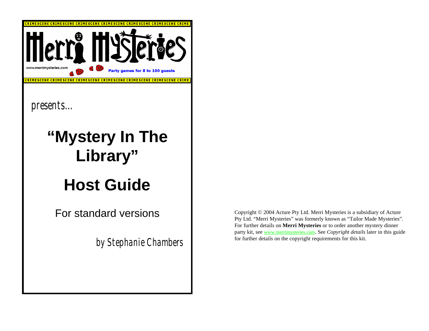

Copyright © 2004 Acture Pty Ltd. Merri Mysteries is a subsidiary of Acture Pty Ltd. "Merri Mysteries" was formerly known as "Tailor Made Mysteries". For further details on **Merri Mysteries** or to order another mystery dinner party kit, see www.merrimysteries.com. See *Copyright details* later in this guide for further details on the copyright requirements for this kit.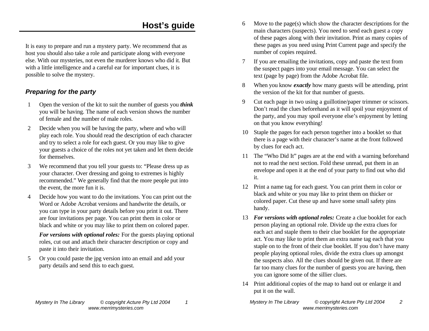## **Host's guide**

It is easy to prepare and run a mystery party. We recommend that as host you should also take a role and participate along with everyone else. With our mysteries, not even the murderer knows who did it. But with a little intelligence and a careful ear for important clues, it is possible to solve the mystery.

#### *Preparing for the party*

- 1 Open the version of the kit to suit the number of guests you *think*  you will be having. The name of each version shows the number of female and the number of male roles.
- 2 Decide when you will be having the party, where and who will play each role. You should read the description of each character and try to select a role for each guest. Or you may like to give your guests a choice of the roles not yet taken and let them decide for themselves.
- 3 We recommend that you tell your guests to: "Please dress up as your character. Over dressing and going to extremes is highly recommended." We generally find that the more people put into the event, the more fun it is.
- 4 Decide how you want to do the invitations. You can print out the Word or Adobe Acrobat versions and handwrite the details, or you can type in your party details before you print it out. There are four invitations per page. You can print them in color or black and white or you may like to print them on colored paper.

*For versions with optional roles:* For the guests playing optional roles, cut out and attach their character description or copy and paste it into their invitation.

5 Or you could paste the jpg version into an email and add your party details and send this to each guest.

- 6 Move to the page(s) which show the character descriptions for the main characters (suspects). You need to send each guest a copy of these pages along with their invitation. Print as many copies of these pages as you need using Print Current page and specify the number of copies required.
- 7 If you are emailing the invitations, copy and paste the text from the suspect pages into your email message. You can select the text (page by page) from the Adobe Acrobat file.
- 8 When you know *exactly* how many guests will be attending, print the version of the kit for that number of guests.
- 9 Cut each page in two using a guillotine/paper trimmer or scissors. Don't read the clues beforehand as it will spoil your enjoyment of the party, and you may spoil everyone else's enjoyment by letting on that you know everything!
- 10 Staple the pages for each person together into a booklet so that there is a page with their character's name at the front followed by clues for each act.
- 11 The "Who Did It" pages are at the end with a warning beforehand not to read the next section. Fold these unread, put them in an envelope and open it at the end of your party to find out who did it.
- 12 Print a name tag for each guest. You can print them in color or black and white or you may like to print them on thicker or colored paper. Cut these up and have some small safety pins handy.
- 13 *For versions with optional roles:* Create a clue booklet for each person playing an optional role. Divide up the extra clues for each act and staple them to their clue booklet for the appropriate act. You may like to print them an extra name tag each that you staple on to the front of their clue booklet. If you don't have many people playing optional roles, divide the extra clues up amongst the suspects also. All the clues should be given out. If there are far too many clues for the number of guests you are having, then you can ignore some of the sillier clues.
- 14 Print additional copies of the map to hand out or enlarge it and put it on the wall.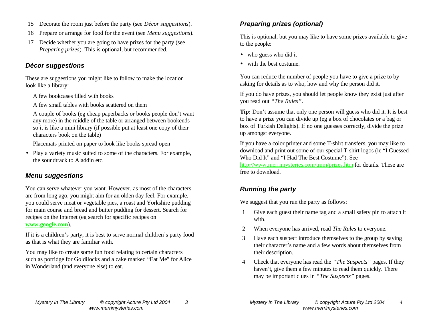- 15 Decorate the room just before the party (see *Décor suggestions*).
- 16 Prepare or arrange for food for the event (see *Menu suggestions*).
- 17 Decide whether you are going to have prizes for the party (see *Preparing prizes*). This is optional, but recommended.

#### *Décor suggestions*

These are suggestions you might like to follow to make the location look like a library:

- A few bookcases filled with books
- A few small tables with books scattered on them

A couple of books (eg cheap paperbacks or books people don't want any more) in the middle of the table or arranged between bookends so it is like a mini library (if possible put at least one copy of their characters book on the table)

Placemats printed on paper to look like books spread open

• Play a variety music suited to some of the characters. For example, the soundtrack to Aladdin etc.

#### *Menu suggestions*

You can serve whatever you want. However, as most of the characters are from long ago, you might aim for an olden day feel. For example, you could serve meat or vegetable pies, a roast and Yorkshire pudding for main course and bread and butter pudding for dessert. Search for recipes on the Internet (eg search for specific recipes on **www.google.com**).

If it is a children's party, it is best to serve normal children's party food as that is what they are familiar with.

You may like to create some fun food relating to certain characters such as porridge for Goldilocks and a cake marked "Eat Me" for Alice in Wonderland (and everyone else) to eat.

#### *Preparing prizes (optional)*

This is optional, but you may like to have some prizes available to give to the people:

- who guess who did it
- with the best costume.

You can reduce the number of people you have to give a prize to by asking for details as to who, how and why the person did it.

If you do have prizes, you should let people know they exist just after you read out *"The Rules"*.

**Tip:** Don't assume that only one person will guess who did it. It is best to have a prize you can divide up (eg a box of chocolates or a bag or box of Turkish Delights). If no one guesses correctly, divide the prize up amongst everyone.

If you have a color printer and some T-shirt transfers, you may like to download and print out some of our special T-shirt logos (ie "I Guessed Who Did It" and "I Had The Best Costume"). See

http://www.merrimysteries.com/tmm/prizes.htm for details. These are free to download.

### *Running the party*

We suggest that you run the party as follows:

- 1 Give each guest their name tag and a small safety pin to attach it with.
- 2 When everyone has arrived, read *The Rules* to everyone.
- 3 Have each suspect introduce themselves to the group by saying their character's name and a few words about themselves from their description.
- 4 Check that everyone has read the *"The Suspects"* pages. If they haven't, give them a few minutes to read them quickly. There may be important clues in *"The Suspects"* pages.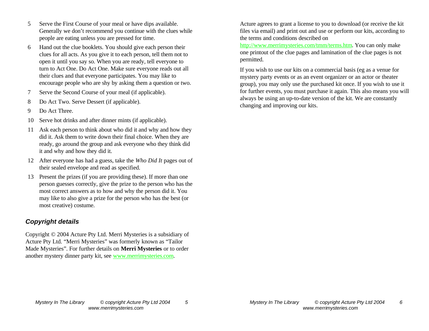- 5 Serve the First Course of your meal or have dips available. Generally we don't recommend you continue with the clues while people are eating unless you are pressed for time.
- 6 Hand out the clue booklets. You should give each person their clues for all acts. As you give it to each person, tell them not to open it until you say so. When you are ready, tell everyone to turn to Act One. Do Act One. Make sure everyone reads out all their clues and that everyone participates. You may like to encourage people who are shy by asking them a question or two.
- 7 Serve the Second Course of your meal (if applicable).
- 8 Do Act Two. Serve Dessert (if applicable).
- 9 Do Act Three.
- 10 Serve hot drinks and after dinner mints (if applicable).
- 11 Ask each person to think about who did it and why and how they did it. Ask them to write down their final choice. When they are ready, go around the group and ask everyone who they think did it and why and how they did it.
- 12 After everyone has had a guess, take the *Who Did It* pages out of their sealed envelope and read as specified.
- 13 Present the prizes (if you are providing these). If more than one person guesses correctly, give the prize to the person who has the most correct answers as to how and why the person did it. You may like to also give a prize for the person who has the best (or most creative) costume.

#### *Copyright details*

Copyright © 2004 Acture Pty Ltd. Merri Mysteries is a subsidiary of Acture Pty Ltd. "Merri Mysteries" was formerly known as "Tailor Made Mysteries". For further details on **Merri Mysteries** or to order another mystery dinner party kit, see www.merrimysteries.com.

Acture agrees to grant a license to you to download (or receive the kit files via email) and print out and use or perform our kits, according to the terms and conditions described on

http://www.merrimysteries.com/tmm/terms.htm. You can only make one printout of the clue pages and lamination of the clue pages is not permitted.

If you wish to use our kits on a commercial basis (eg as a venue for mystery party events or as an event organizer or an actor or theater group), you may only use the purchased kit once. If you wish to use it for further events, you must purchase it again. This also means you will always be using an up-to-date version of the kit. We are constantly changing and improving our kits.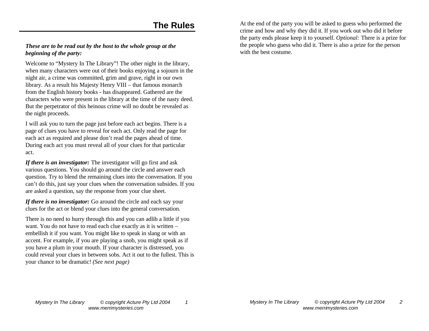## **The Rules**

#### *These are to be read out by the host to the whole group at the beginning of the party:*

Welcome to "Mystery In The Library"! The other night in the library, when many characters were out of their books enjoying a sojourn in the night air, a crime was committed, grim and grave, right in our own library. As a result his Majesty Henry VIII – that famous monarch from the English history books - has disappeared. Gathered are the characters who were present in the library at the time of the nasty deed. But the perpetrator of this heinous crime will no doubt be revealed as the night proceeds.

I will ask you to turn the page just before each act begins. There is a page of clues you have to reveal for each act. Only read the page for each act as required and please don't read the pages ahead of time. During each act you must reveal all of your clues for that particular act.

*If there is an investigator:* The investigator will go first and ask various questions. You should go around the circle and answer each question. Try to blend the remaining clues into the conversation. If you can't do this, just say your clues when the conversation subsides. If you are asked a question, say the response from your clue sheet.

*If there is no investigator:* Go around the circle and each say your clues for the act or blend your clues into the general conversation.

There is no need to hurry through this and you can adlib a little if you want. You do not have to read each clue exactly as it is written – embellish it if you want. You might like to speak in slang or with an accent. For example, if you are playing a snob, you might speak as if you have a plum in your mouth. If your character is distressed, you could reveal your clues in between sobs. Act it out to the fullest. This is your chance to be dramatic! *(See next page)*

At the end of the party you will be asked to guess who performed the crime and how and why they did it. If you work out who did it before the party ends please keep it to yourself. *Optional:* There is a prize for the people who guess who did it. There is also a prize for the person with the best costume.